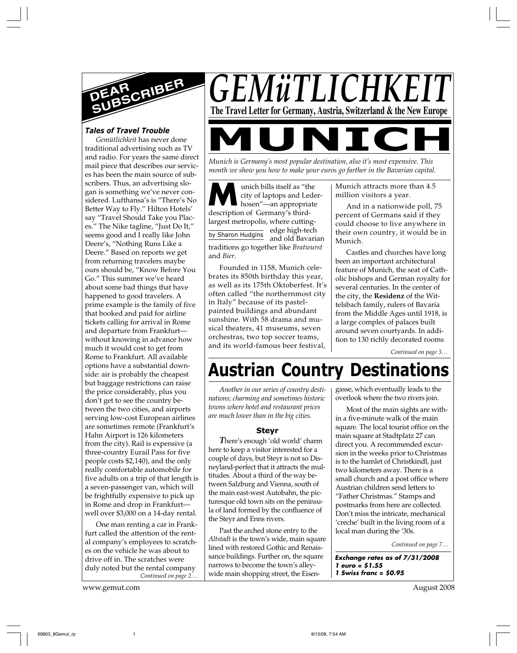

# *Tales of Travel Trouble*

*Gemütlichkeit* has never done traditional advertising such as TV and radio. For years the same direct mail piece that describes our services has been the main source of subscribers. Thus, an advertising slogan is something we've never considered. Lufthansa's is "There's No Better Way to Fly." Hilton Hotels' say "Travel Should Take you Places." The Nike tagline, "Just Do It," seems good and I really like John Deere's, "Nothing Runs Like a Deere." Based on reports we get from returning travelers maybe ours should be, "Know Before You Go." This summer we've heard about some bad things that have happened to good travelers. A prime example is the family of five that booked and paid for airline tickets calling for arrival in Rome and departure from Frankfurt without knowing in advance how much it would cost to get from Rome to Frankfurt. All available options have a substantial downside: air is probably the cheapest but baggage restrictions can raise the price considerably, plus you don't get to see the country between the two cities, and airports serving low-cost European airlines are sometimes remote (Frankfurt's Hahn Airport is 126 kilometers from the city). Rail is expensive (a three-country Eurail Pass for five people costs \$2,140), and the only really comfortable automobile for five adults on a trip of that length is a seven-passenger van, which will be frightfully expensive to pick up in Rome and drop in Frankfurt well over \$3,000 on a 14-day rental.

*Continued on page 2…* One man renting a car in Frankfurt called the attention of the rental company's employees to scratches on the vehicle he was about to drive off in. The scratches were duly noted but the rental company

www.gemut.com August 2008

*GEMüTLICHK* **The Travel Letter for Germany, Austria, Switzerland & the New Europe** 

*Munich is Germany's most popular destination, also it's most expensive. This month we show you how to make your euros go farther in the Bavarian capital.*

by Sharon Hudgins **Munich bills itself as "the city of laptops and Lede<br>hosen"—an appropriate<br>description of Cormany's third** city of laptops and Lederdescription of Germany's thirdlargest metropolis, where cuttingedge high-tech and old Bavarian traditions go together like *Bratwurst* and *Bier*.

Founded in 1158, Munich celebrates its 850th birthday this year, as well as its 175th Oktoberfest. It's often called "the northernmost city in Italy" because of its pastelpainted buildings and abundant sunshine. With 58 drama and musical theaters, 41 museums, seven orchestras, two top soccer teams, and its world-famous beer festival,

Munich attracts more than 4.5 million visitors a year.

And in a nationwide poll, 75 percent of Germans said if they could choose to live anywhere in their own country, it would be in Munich.

Castles and churches have long been an important architectural feature of Munich, the seat of Catholic bishops and German royalty for several centuries. In the center of the city, the **Residenz** of the Wittelsbach family, rulers of Bavaria from the Middle Ages until 1918, is a large complex of palaces built around seven courtyards. In addition to 130 richly decorated rooms

*Continued on page 3…*

# **Austrian Country Destinations**

*Another in our series of country destinations; charming and sometimes historic towns where hotel and restaurant prices are much lower than in the big cities.*

# **Steyr**

*T*here's enough 'old world' charm here to keep a visitor interested for a couple of days, but Steyr is not so Disneyland-perfect that it attracts the multitudes. About a third of the way between Salzburg and Vienna, south of the main east-west Autobahn, the picturesque old town sits on the peninsula of land formed by the confluence of the Steyr and Enns rivers.

Past the arched stone entry to the *Altstadt* is the town's wide, main square lined with restored Gothic and Renaissance buildings. Further on, the square narrows to become the town's alleywide main shopping street, the Eisengasse, which eventually leads to the overlook where the two rivers join.

Most of the main sights are within a five-minute walk of the main square. The local tourist office on the main square at Stadtplatz 27 can direct you. A recommended excursion in the weeks prior to Christmas is to the hamlet of Christkindl, just two kilometers away. There is a small church and a post office where Austrian children send letters to "Father Christmas." Stamps and postmarks from here are collected. Don't miss the intricate, mechanical 'creche' built in the living room of a local man during the '30s.

*Continued on page 7…*

**Exchange rates as of 7/31/2008 1 euro = \$1.55 1 Swiss franc = \$0.95**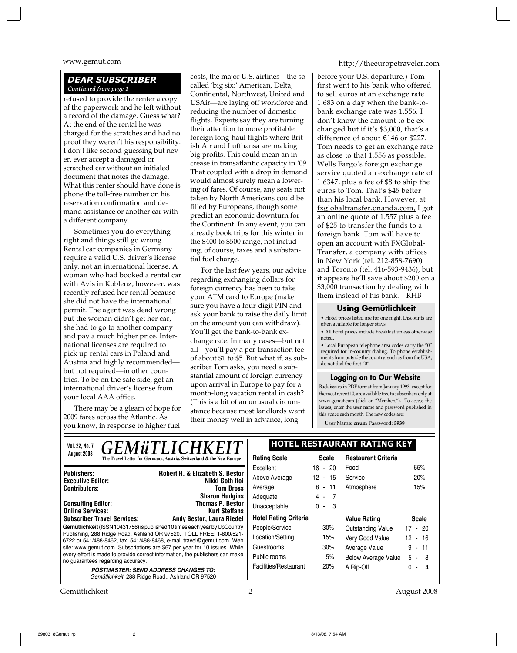# *DEAR SUBSCRIBER Continued from page 1*

refused to provide the renter a copy of the paperwork and he left without a record of the damage. Guess what? At the end of the rental he was charged for the scratches and had no proof they weren't his responsibility. I don't like second-guessing but never, ever accept a damaged or scratched car without an initialed document that notes the damage. What this renter should have done is phone the toll-free number on his reservation confirmation and demand assistance or another car with a different company.

Sometimes you do everything right and things still go wrong. Rental car companies in Germany require a valid U.S. driver's license only, not an international license. A woman who had booked a rental car with Avis in Koblenz, however, was recently refused her rental because she did not have the international permit. The agent was dead wrong but the woman didn't get her car, she had to go to another company and pay a much higher price. International licenses are required to pick up rental cars in Poland and Austria and highly recommended but not required—in other countries. To be on the safe side, get an international driver's license from your local AAA office.

There may be a gleam of hope for 2009 fares across the Atlantic. As you know, in response to higher fuel costs, the major U.S. airlines—the socalled 'big six;' American, Delta, Continental, Northwest, United and USAir—are laying off workforce and reducing the number of domestic flights. Experts say they are turning their attention to more profitable foreign long-haul flights where British Air and Lufthansa are making big profits. This could mean an increase in transatlantic capacity in '09. That coupled with a drop in demand would almost surely mean a lowering of fares. Of course, any seats not taken by North Americans could be filled by Europeans, though some predict an economic downturn for the Continent. In any event, you can already book trips for this winter in the \$400 to \$500 range, not including, of course, taxes and a substantial fuel charge.

For the last few years, our advice regarding exchanging dollars for foreign currency has been to take your ATM card to Europe (make sure you have a four-digit PIN and ask your bank to raise the daily limit on the amount you can withdraw). You'll get the bank-to-bank exchange rate. In many cases—but not all—you'll pay a per-transaction fee of about \$1 to \$5. But what if, as subscriber Tom asks, you need a substantial amount of foreign currency upon arrival in Europe to pay for a month-long vacation rental in cash? (This is a bit of an unusual circumstance because most landlords want their money well in advance, long

www.gemut.com http://theeuropetraveler.com

before your U.S. departure.) Tom first went to his bank who offered to sell euros at an exchange rate 1.683 on a day when the bank-tobank exchange rate was 1.556. I don't know the amount to be exchanged but if it's \$3,000, that's a difference of about  $\epsilon$ 146 or \$227. Tom needs to get an exchange rate as close to that 1.556 as possible. Wells Fargo's foreign exchange service quoted an exchange rate of 1.6347, plus a fee of \$8 to ship the euros to Tom. That's \$45 better than his local bank. However, at fxglobaltransfer.onanda.com, I got an online quote of 1.557 plus a fee of \$25 to transfer the funds to a foreign bank. Tom will have to open an account with FXGlobal-Transfer, a company with offices in New York (tel. 212-858-7690) and Toronto (tel. 416-593-9436), but it appears he'll save about \$200 on a \$3,000 transaction by dealing with them instead of his bank.—RHB

# **Using Gemütlichkeit**

• Hotel prices listed are for one night. Discounts are often available for longer stays.

• All hotel prices include breakfast unless otherwise noted.

 $\bullet$  Local European telephone area codes carry the "0" required for in-country dialing. To phone establishments from outside the country, such as from the USA, do not dial the first "0".

# **Logging on to Our Website**

Back issues in PDF format from January 1993, except for the most recent 10, are available free to subscribers only at www.gemut.com (click on "Members"). To access the issues, enter the user name and password published in this space each month. The new codes are:

User Name: **cnum** Password: **5939**

| <b>GEMÜTLICHKEIT</b><br>Vol. 22, No. 7                                                                                                       | <b>HOTEL RESTAURANT RATING KEY</b> |              |                            |                                 |
|----------------------------------------------------------------------------------------------------------------------------------------------|------------------------------------|--------------|----------------------------|---------------------------------|
| August 2008<br>The Travel Letter for Germany, Austria, Switzerland & the New Europe                                                          | <b>Rating Scale</b>                | <b>Scale</b> | <b>Restaurant Criteria</b> |                                 |
| <b>Robert H. &amp; Elizabeth S. Bestor</b><br><b>Publishers:</b>                                                                             | Excellent                          | $16 - 20$    | Food                       | 65%                             |
| Nikki Goth Itoi<br><b>Executive Editor:</b>                                                                                                  | Above Average                      | $12 - 15$    | Service                    | 20%                             |
| <b>Contributors:</b><br><b>Tom Bross</b>                                                                                                     | Average                            | $8 - 11$     | Atmosphere                 | 15%                             |
| <b>Sharon Hudgins</b>                                                                                                                        | Adequate                           | 4 - 7        |                            |                                 |
| <b>Thomas P. Bestor</b><br><b>Consulting Editor:</b><br><b>Online Services:</b><br><b>Kurt Steffans</b>                                      | Unacceptable                       | $0 - 3$      |                            |                                 |
| <b>Subscriber Travel Services:</b><br>Andy Bestor, Laura Riedel                                                                              | <b>Hotel Rating Criteria</b>       |              | <b>Value Rating</b>        | <b>Scale</b>                    |
| Gemütlichkeit (ISSN 10431756) is published 10 times each year by UpCountry                                                                   | People/Service                     | 30%          | <b>Outstanding Value</b>   | $17 - 20$                       |
| Publishing, 288 Ridge Road, Ashland OR 97520. TOLL FREE: 1-800/521-<br>6722 or 541/488-8462, fax: 541/488-8468, e-mail travel@gemut.com. Web | Location/Setting                   | 15%          | Very Good Value            | 12 - 16                         |
| site: www.gemut.com. Subscriptions are \$67 per year for 10 issues. While                                                                    | Guestrooms                         | 30%          | Average Value              | 9 -<br>-11                      |
| every effort is made to provide correct information, the publishers can make<br>no guarantees regarding accuracy.                            | Public rooms                       | 5%           | <b>Below Average Value</b> | $5 -$<br>- 8                    |
| <b>POSTMASTER: SEND ADDRESS CHANGES TO:</b>                                                                                                  | Facilities/Restaurant              | 20%          | A Rip-Off                  | $\Omega$<br>4<br>$\blacksquare$ |
| Gemütlichkeit, 288 Ridge Road., Ashland OR 97520                                                                                             |                                    |              |                            |                                 |

Gemütlichkeit 2 August 2008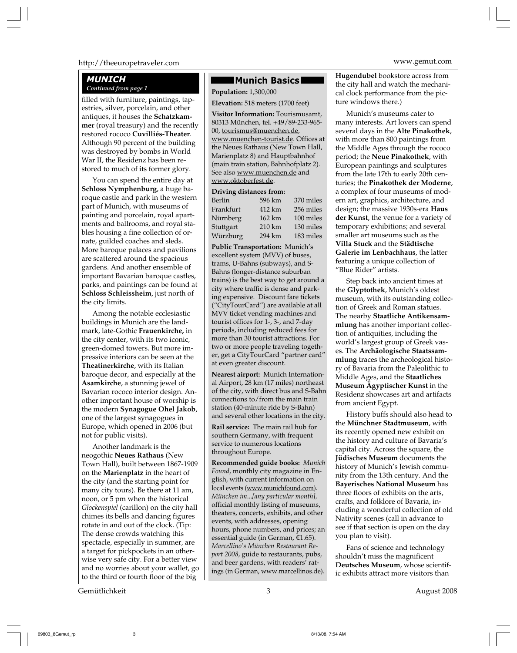# http://theeuropetraveler.com www.gemut.com

# *MUNICH*

filled with furniture, paintings, tapestries, silver, porcelain, and other antiques, it houses the **Schatzkammer** (royal treasury) and the recently restored rococo **Cuvilliés-Theater**. Although 90 percent of the building was destroyed by bombs in World War II, the Residenz has been restored to much of its former glory.

You can spend the entire day at **Schloss Nymphenburg**, a huge baroque castle and park in the western part of Munich, with museums of painting and porcelain, royal apartments and ballrooms, and royal stables housing a fine collection of ornate, guilded coaches and sleds. More baroque palaces and pavilions are scattered around the spacious gardens. And another ensemble of important Bavarian baroque castles, parks, and paintings can be found at **Schloss Schleissheim**, just north of the city limits.

Among the notable ecclesiastic buildings in Munich are the landmark, late-Gothic **Frauenkirche,** in the city center, with its two iconic, green-domed towers. But more impressive interiors can be seen at the **Theatinerkirche**, with its Italian baroque decor, and especially at the **Asamkirche**, a stunning jewel of Bavarian rococo interior design. Another important house of worship is the modern **Synagogue Ohel Jakob**, one of the largest synagogues in Europe, which opened in 2006 (but not for public visits).

Another landmark is the neogothic **Neues Rathaus** (New Town Hall), built between 1867-1909 on the **Marienplatz** in the heart of the city (and the starting point for many city tours). Be there at 11 am, noon, or 5 pm when the historical *Glockenspiel* (carillon) on the city hall chimes its bells and dancing figures rotate in and out of the clock. (Tip: The dense crowds watching this spectacle, especially in summer, are a target for pickpockets in an otherwise very safe city. For a better view and no worries about your wallet, go to the third or fourth floor of the big

# **Munich Basics**

**Continued from page 1 Population:** 1,300,000

**Elevation:** 518 meters (1700 feet)

**Visitor Information:** Tourismusamt, 80313 München, tel. +49/89-233-965- 00, tourismus@muenchen.de, www.muenchen-tourist.de. Offices at the Neues Rathaus (New Town Hall, Marienplatz 8) and Hauptbahnhof (main train station, Bahnhofplatz 2). See also www.muenchen.de and www.oktoberfest.de.

#### **Driving distances from:**

| Berlin    | 596 km | 370 miles |
|-----------|--------|-----------|
| Frankfurt | 412 km | 256 miles |
| Nürnberg  | 162 km | 100 miles |
| Stuttgart | 210 km | 130 miles |
| Würzburg  | 294 km | 183 miles |
|           |        |           |

**Public Transportation:** Munich's excellent system (MVV) of buses, trams, U-Bahns (subways), and S-Bahns (longer-distance suburban trains) is the best way to get around a city where traffic is dense and parking expensive. Discount fare tickets ("CityTourCard") are available at all MVV ticket vending machines and tourist offices for 1-, 3-, and 7-day periods, including reduced fees for more than 30 tourist attractions. For two or more people traveling together, get a CityTourCard "partner card" at even greater discount.

**Nearest airport:** Munich International Airport, 28 km (17 miles) northeast of the city, with direct bus and S-Bahn connections to/from the main train station (40-minute ride by S-Bahn) and several other locations in the city.

**Rail service:** The main rail hub for southern Germany, with frequent service to numerous locations throughout Europe.

**Recommended guide books:** *Munich Found*, monthly city magazine in English, with current information on local events (www.munichfound.com). *München im*...*[any particular month],* official monthly listing of museums, theaters, concerts, exhibits, and other events, with addresses, opening hours, phone numbers, and prices; an essential guide (in German, €1.65). *Marcellino's München Restaurant Report 2008*, guide to restaurants, pubs, and beer gardens, with readers' ratings (in German, www.marcellinos.de).

**Hugendubel** bookstore across from the city hall and watch the mechanical clock performance from the picture windows there.)

Munich's museums cater to many interests. Art lovers can spend several days in the **Alte Pinakothek**, with more than 800 paintings from the Middle Ages through the rococo period; the **Neue Pinakothek**, with European paintings and sculptures from the late 17th to early 20th centuries; the **Pinakothek der Moderne**, a complex of four museums of modern art, graphics, architecture, and design; the massive 1930s-era **Haus der Kunst**, the venue for a variety of temporary exhibitions; and several smaller art museums such as the **Villa Stuck** and the **Städtische Galerie im Lenbachhaus**, the latter featuring a unique collection of "Blue Rider" artists.

Step back into ancient times at the **Glyptothek**, Munich's oldest museum, with its outstanding collection of Greek and Roman statues. The nearby **Staatliche Antikensammlung** has another important collection of antiquities, including the world's largest group of Greek vases. The **Archäologische Staatssammlung** traces the archeological history of Bavaria from the Paleolithic to Middle Ages, and the **Staatliches Museum Ägyptischer Kunst** in the Residenz showcases art and artifacts from ancient Egypt.

History buffs should also head to the **Münchner Stadtmuseum**, with its recently opened new exhibit on the history and culture of Bavaria's capital city. Across the square, the **Jüdisches Museum** documents the history of Munich's Jewish community from the 13th century. And the **Bayerisches National Museum** has three floors of exhibits on the arts, crafts, and folklore of Bavaria, including a wonderful collection of old Nativity scenes (call in advance to see if that section is open on the day you plan to visit).

Fans of science and technology shouldn't miss the magnificent **Deutsches Museum**, whose scientific exhibits attract more visitors than

Gemütlichkeit 3 August 2008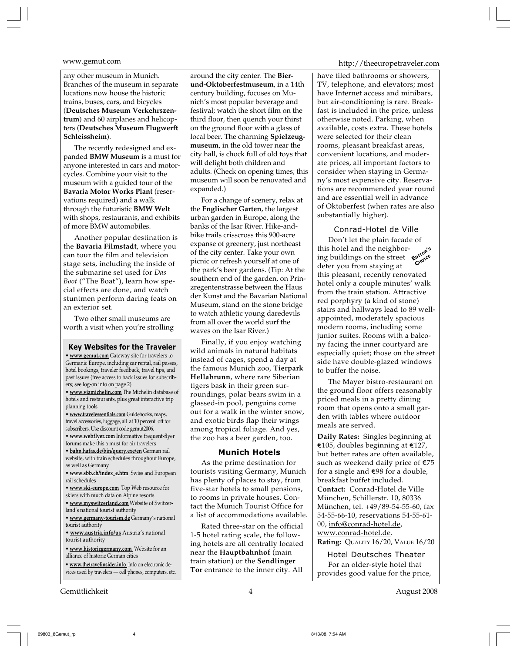any other museum in Munich. Branches of the museum in separate locations now house the historic trains, buses, cars, and bicycles (**Deutsches Museum Verkehrszentrum**) and 60 airplanes and helicopters (**Deutsches Museum Flugwerft Schleissheim**).

The recently redesigned and expanded **BMW Museum** is a must for anyone interested in cars and motorcycles. Combine your visit to the museum with a guided tour of the **Bavaria Motor Works Plant** (reservations required) and a walk through the futuristic **BMW Welt** with shops, restaurants, and exhibits of more BMW automobiles.

Another popular destination is the **Bavaria Filmstadt**, where you can tour the film and television stage sets, including the inside of the submarine set used for *Das Boot* ("The Boat"), learn how special effects are done, and watch stuntmen perform daring feats on an exterior set.

Two other small museums are worth a visit when you're strolling

#### **Key Websites for the Traveler**

**• www.gemut.com** Gateway site for travelers to Germanic Europe, including car rental, rail passes, hotel bookings, traveler feedback, travel tips, and past issues (free access to back issues for subscribers; see log-on info on page 2).

**• www.viamichelin.com** The Michelin database of hotels and restaurants, plus great interactive trip planning tools

**• www.travelessentials.com** Guidebooks, maps, travel accessories, luggage, all at 10 percent off for subscribers. Use discount code gemut2006.

**• www.webflyer.com** Informative frequent-flyer forums make this a must for air travelers

**• bahn.hafas.de/bin/query.exe/en** German rail website, with train schedules throughout Europe, as well as Germany

- **www.sbb.ch/index\_e.htm** Swiss and European rail schedules
- **www.ski-europe.com** Top Web resource for
- skiers with much data on Alpine resorts

**• www.myswitzerland.com** Website of Switzerland's national tourist authority

**• www.germany-tourism.de** Germany's national tourist authority

**• www.austria.info/us** Austria's national tourist authority

**• www.historicgermany.com** Website for an alliance of historic German cities

**• www.thetravelinsider.info** Info on electronic devices used by travelers — cell phones, computers, etc.

Gemütlichkeit 4 August 2008

around the city center. The **Bierund-Oktoberfestmuseum**, in a 14th century building, focuses on Munich's most popular beverage and festival; watch the short film on the third floor, then quench your thirst on the ground floor with a glass of local beer. The charming **Spielzeugmuseum**, in the old tower near the city hall, is chock full of old toys that will delight both children and adults. (Check on opening times; this museum will soon be renovated and expanded.)

For a change of scenery, relax at the **Englischer Garten**, the largest urban garden in Europe, along the banks of the Isar River. Hike-andbike trails crisscross this 900-acre expanse of greenery, just northeast of the city center. Take your own picnic or refresh yourself at one of the park's beer gardens. (Tip: At the southern end of the garden, on Prinzregentenstrasse between the Haus der Kunst and the Bavarian National Museum, stand on the stone bridge to watch athletic young daredevils from all over the world surf the waves on the Isar River.)

Finally, if you enjoy watching wild animals in natural habitats instead of cages, spend a day at the famous Munich zoo, **Tierpark Hellabrunn**, where rare Siberian tigers bask in their green surroundings, polar bears swim in a glassed-in pool, penguins come out for a walk in the winter snow, and exotic birds flap their wings among tropical foliage. And yes, the zoo has a beer garden, too.

#### **Munich Hotels**

As the prime destination for tourists visiting Germany, Munich has plenty of places to stay, from five-star hotels to small pensions, to rooms in private houses. Contact the Munich Tourist Office for a list of accommodations available.

Rated three-star on the official 1-5 hotel rating scale, the following hotels are all centrally located near the **Hauptbahnhof** (main train station) or the **Sendlinger Tor** entrance to the inner city. All

www.gemut.com http://theeuropetraveler.com

have tiled bathrooms or showers, TV, telephone, and elevators; most have Internet access and minibars, but air-conditioning is rare. Breakfast is included in the price, unless otherwise noted. Parking, when available, costs extra. These hotels were selected for their clean rooms, pleasant breakfast areas, convenient locations, and moderate prices, all important factors to consider when staying in Germany's most expensive city. Reservations are recommended year round and are essential well in advance of Oktoberfest (when rates are also substantially higher).

Conrad-Hotel de Ville

Don't let the plain facade of this hotel and the neighborthis hotel and the neighbor-<br>ing buildings on the street **E**<sup>proper</sup> deter you from staying at this pleasant, recently renovated hotel only a couple minutes' walk from the train station. Attractive red porphyry (a kind of stone) stairs and hallways lead to 89 wellappointed, moderately spacious modern rooms, including some junior suites. Rooms with a balcony facing the inner courtyard are especially quiet; those on the street side have double-glazed windows to buffer the noise.

The Mayer bistro-restaurant on the ground floor offers reasonably priced meals in a pretty dining room that opens onto a small garden with tables where outdoor meals are served.

**Daily Rates:** Singles beginning at €105, doubles beginning at €127, but better rates are often available, such as weekend daily price of  $E$ 5 for a single and  $\epsilon$ 98 for a double, breakfast buffet included. **Contact:** Conrad-Hotel de Ville München, Schillerstr. 10, 80336 München, tel. +49/89-54-55-60, fax 54-55-66-10, reservations 54-55-61- 00, info@conrad-hotel.de, www.conrad-hotel.de.

**Rating:** QUALITY 16/20, VALUE 16/20

Hotel Deutsches Theater For an older-style hotel that provides good value for the price,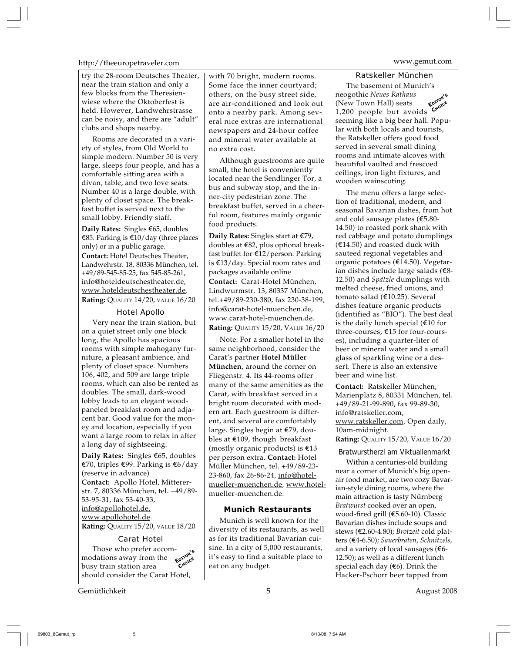# http://theeuropetraveler.com www.gemut.com

try the 28-room Deutsches Theater, near the train station and only a few blocks from the Theresienwiese where the Oktoberfest is held. However, Landwehrstrasse can be noisy, and there are "adult" clubs and shops nearby.

Rooms are decorated in a variety of styles, from Old World to simple modern. Number 50 is very large, sleeps four people, and has a comfortable sitting area with a divan, table, and two love seats. Number 40 is a large double, with plenty of closet space. The breakfast buffet is served next to the small lobby. Friendly staff.

**Daily Rates:** Singles E65, doubles €85. Parking is  $€10$ /day (three places only) or in a public garage. **Contact:** Hotel Deutsches Theater, Landwehrstr. 18, 80336 München, tel. +49/89-545-85-25, fax 545-85-261, info@hoteldeutschestheater.de, www.hoteldeutschestheater.de. **Rating:** QUALITY 14/20, VALUE 16/20

#### Hotel Apollo

Very near the train station, but on a quiet street only one block long, the Apollo has spacious rooms with simple mahogany furniture, a pleasant ambience, and plenty of closet space. Numbers 106, 402, and 509 are large triple rooms, which can also be rented as doubles. The small, dark-wood lobby leads to an elegant woodpaneled breakfast room and adjacent bar. Good value for the money and location, especially if you want a large room to relax in after a long day of sightseeing.

**Daily Rates:** Singles E65, doubles E70, triples E99. Parking is E6/day (reserve in advance) **Contact:** Apollo Hotel, Mittererstr. 7, 80336 München, tel. +49/89- 53-95-31, fax 53-40-33, info@apollohotel.de, www.apollohotel.de.

**Rating:** QUALITY 15/20, VALUE 18/20

# Carat Hotel

Those who prefer accommodations away from the busy train station area should consider the Carat Hotel, **EDITOR'<sup>S</sup>** C<sub>HOICE</sub>

Gemütlichkeit 5 August 2008

with 70 bright, modern rooms. Some face the inner courtyard; others, on the busy street side, are air-conditioned and look out onto a nearby park. Among several nice extras are international newspapers and 24-hour coffee and mineral water available at no extra cost.

Although guestrooms are quite small, the hotel is conveniently located near the Sendlinger Tor, a bus and subway stop, and the inner-city pedestrian zone. The breakfast buffet, served in a cheerful room, features mainly organic food products.

**Daily Rates:** Singles start at €79, doubles at E82, plus optional breakfast buffet for E12/person. Parking is E13/day. Special room rates and packages available online **Contact:** Carat-Hotel München, Lindwurmstr. 13, 80337 München, tel.+49/89-230-380, fax 230-38-199, info@carat-hotel-muenchen.de, www.carat-hotel-muenchen.de. **Rating:** QUALITY 15/20, VALUE 16/20

Note: For a smaller hotel in the same neighborhood, consider the Carat's partner **Hotel Müller München**, around the corner on Fliegenstr. 4. Its 44-rooms offer many of the same amenities as the Carat, with breakfast served in a bright room decorated with modern art. Each guestroom is different, and several are comfortably large. Singles begin at E79, doubles at  $$109$ , though breakfast (mostly organic products) is  $\epsilon$ 13 per person extra. **Contact:** Hotel Müller München, tel. +49/89-23- 23-860, fax 26-86-24, info@hotelmueller-muenchen.de, www.hotelmueller-muenchen.de.

# **Munich Restaurants**

Munich is well known for the diversity of its restaurants, as well as for its traditional Bavarian cuisine. In a city of 5,000 restaurants, it's easy to find a suitable place to eat on any budget.

Ratskeller München The basement of Munich's neogothic *Neues Rathaus* (New Town Hall) seats **EDR** (New Town Hall) seats **CRO**<br>1,200 people but avoids seeming like a big beer hall. Popular with both locals and tourists, the Ratskeller offers good food served in several small dining rooms and intimate alcoves with beautiful vaulted and frescoed ceilings, iron light fixtures, and wooden wainscoting. **EDITOR'<sup>S</sup>**

The menu offers a large selection of traditional, modern, and seasonal Bavarian dishes, from hot and cold sausage plates ( $$5.80$$ -14.50) to roasted pork shank with red cabbage and potato dumplings  $(€14.50)$  and roasted duck with sauteed regional vegetables and organic potatoes (E14.50). Vegetarian dishes include large salads (E8- 12.50) and *Spätzle* dumplings with melted cheese, fried onions, and tomato salad (E10.25). Several dishes feature organic products (identified as "BIO"). The best deal is the daily lunch special  $(\epsilon 10$  for three-courses, E15 for four-courses), including a quarter-liter of beer or mineral water and a small glass of sparkling wine or a dessert. There is also an extensive beer and wine list.

**Contact:** Ratskeller München, Marienplatz 8, 80331 München, tel. +49/89-21-99-890, fax 99-89-30, info@ratskeller.com,

www.ratskeller.com. Open daily, 10am-midnight.

**Rating:** QUALITY 15/20, VALUE 16/20

# Bratwurstherzl am Viktualienmarkt

Within a centuries-old building near a corner of Munich's big openair food market, are two cozy Bavarian-style dining rooms, where the main attraction is tasty Nürnberg *Bratwurst* cooked over an open, wood-fired grill (E5.60-10). Classic Bavarian dishes include soups and stews (E2.60-4.80); *Brotzeit* cold platters (E4-6.50); *Sauerbraten*, *Schnitzels*, and a variety of local sausages ( $6$ -12.50); as well as a different lunch special each day  $(€6)$ . Drink the Hacker-Pschorr beer tapped from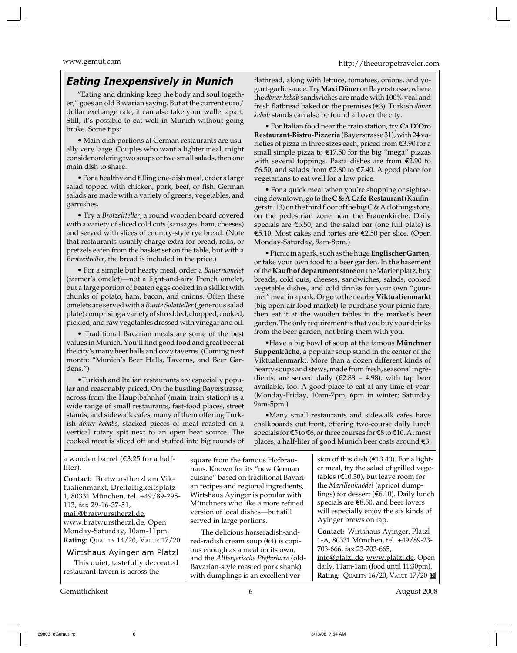# *Eating Inexpensively in Munich*

"Eating and drinking keep the body and soul together," goes an old Bavarian saying. But at the current euro/ dollar exchange rate, it can also take your wallet apart. Still, it's possible to eat well in Munich without going broke. Some tips:

• Main dish portions at German restaurants are usually very large. Couples who want a lighter meal, might consider ordering two soups or two small salads, then one main dish to share.

• For a healthy and filling one-dish meal, order a large salad topped with chicken, pork, beef, or fish. German salads are made with a variety of greens, vegetables, and garnishes.

• Try a *Brotzeitteller*, a round wooden board covered with a variety of sliced cold cuts (sausages, ham, cheeses) and served with slices of country-style rye bread. (Note that restaurants usually charge extra for bread, rolls, or pretzels eaten from the basket set on the table, but with a *Brotzeitteller*, the bread is included in the price.)

• For a simple but hearty meal, order a *Bauernomelet* (farmer's omelet)—not a light-and-airy French omelet, but a large portion of beaten eggs cooked in a skillet with chunks of potato, ham, bacon, and onions. Often these omelets are served with a *Bunte Salatteller* (generous salad plate) comprising a variety of shredded, chopped, cooked, pickled, and raw vegetables dressed with vinegar and oil.

• Traditional Bavarian meals are some of the best values in Munich. You'll find good food and great beer at the city's many beer halls and cozy taverns. (Coming next month: "Munich's Beer Halls, Taverns, and Beer Gardens.")

•Turkish and Italian restaurants are especially popular and reasonably priced. On the bustling Bayerstrasse, across from the Hauptbahnhof (main train station) is a wide range of small restaurants, fast-food places, street stands, and sidewalk cafes, many of them offering Turkish *döner kebabs*, stacked pieces of meat roasted on a vertical rotary spit next to an open heat source. The cooked meat is sliced off and stuffed into big rounds of flatbread, along with lettuce, tomatoes, onions, and yogurt-garlic sauce. Try **MaxiDöner** on Bayerstrasse, where the *döner kebab* sandwiches are made with 100% veal and fresh flatbread baked on the premises (E3). Turkish *döner kebab* stands can also be found all over the city.

• For Italian food near the train station, try **Ca D'Oro Restaurant-Bistro-Pizzeria** (Bayerstrasse 31), with 24 varieties of pizza in three sizes each, priced from E3.90 for a small simple pizza to E17.50 for the big "mega" pizzas with several toppings. Pasta dishes are from  $\epsilon$ 2.90 to E6.50, and salads from E2.80 to E7.40. A good place for vegetarians to eat well for a low price.

• For a quick meal when you're shopping or sightseeing downtown, go to the **C & A Cafe-Restaurant** (Kaufingerstr. 13) on the third floor of the big C & A clothing store, on the pedestrian zone near the Frauenkirche. Daily specials are  $\epsilon$ 5.50, and the salad bar (one full plate) is E5.10. Most cakes and tortes are E2.50 per slice. (Open Monday-Saturday, 9am-8pm.)

• Picnic in a park, such as the huge **Englischer Garten**, or take your own food to a beer garden. In the basement of the **Kaufhof department store** on the Marienplatz, buy breads, cold cuts, cheeses, sandwiches, salads, cooked vegetable dishes, and cold drinks for your own "gourmet" meal in a park. Or go to the nearby **Viktualienmarkt** (big open-air food market) to purchase your picnic fare, then eat it at the wooden tables in the market's beer garden. The only requirement is that you buy your drinks from the beer garden, not bring them with you.

•Have a big bowl of soup at the famous **Münchner Suppenküche**, a popular soup stand in the center of the Viktualienmarkt. More than a dozen different kinds of hearty soups and stews, made from fresh, seasonal ingredients, are served daily ( $\epsilon$ 2.88 – 4.98), with tap beer available, too. A good place to eat at any time of year. (Monday-Friday, 10am-7pm, 6pm in winter; Saturday 9am-5pm.)

•Many small restaurants and sidewalk cafes have chalkboards out front, offering two-course daily lunch specials for  $\epsilon$ 5 to  $\epsilon$ 6, or three courses for  $\epsilon$ 8 to  $\epsilon$ 10. At most places, a half-liter of good Munich beer costs around E3.

| a wooden barrel ( $$3.25$ for a half-                                                                                                                                   | square from the famous Hofbräu-                                                                                                                                                                                                     | sion of this dish ( $$13.40$ ). For a light-                                                                                                                                                                                |
|-------------------------------------------------------------------------------------------------------------------------------------------------------------------------|-------------------------------------------------------------------------------------------------------------------------------------------------------------------------------------------------------------------------------------|-----------------------------------------------------------------------------------------------------------------------------------------------------------------------------------------------------------------------------|
| liter).                                                                                                                                                                 | haus. Known for its "new German                                                                                                                                                                                                     | er meal, try the salad of grilled vege-                                                                                                                                                                                     |
| Contact: Bratwurstherzl am Vik-                                                                                                                                         | cuisine" based on traditional Bavari-                                                                                                                                                                                               | tables ( $\epsilon$ 10.30), but leave room for                                                                                                                                                                              |
| tualienmarkt, Dreifaltigkeitsplatz                                                                                                                                      | an recipes and regional ingredients,                                                                                                                                                                                                | the Marillenknödel (apricot dump-                                                                                                                                                                                           |
| 1, 80331 München, tel. +49/89-295-                                                                                                                                      | Wirtshaus Ayinger is popular with                                                                                                                                                                                                   | lings) for dessert (€6.10). Daily lunch                                                                                                                                                                                     |
| 113, fax 29-16-37-51,                                                                                                                                                   | Münchners who like a more refined                                                                                                                                                                                                   | specials are $\epsilon$ 8.50, and beer lovers                                                                                                                                                                               |
| mail@bratwurstherzl.de,                                                                                                                                                 | version of local dishes—but still                                                                                                                                                                                                   | will especially enjoy the six kinds of                                                                                                                                                                                      |
| www.bratwurstherzl.de. Open                                                                                                                                             | served in large portions.                                                                                                                                                                                                           | Ayinger brews on tap.                                                                                                                                                                                                       |
| Monday-Saturday, 10am-11pm.<br>Rating: QUALITY 14/20, VALUE 17/20<br>Wirtshaus Ayinger am Platzl<br>This quiet, tastefully decorated<br>restaurant-tavern is across the | The delicious horseradish-and-<br>red-radish cream soup $(€4)$ is copi-<br>ous enough as a meal on its own,<br>and the Altbayerische Pfefferhaxe (old-<br>Bavarian-style roasted pork shank)<br>with dumplings is an excellent ver- | Contact: Wirtshaus Ayinger, Platzl<br>1-A, 80331 München, tel. +49/89-23-<br>703-666, fax 23-703-665,<br>info@platzl.de, www.platzl.de. Open<br>daily, 11am-1am (food until 11:30pm).<br>Rating: QUALITY 16/20, VALUE 17/20 |

Gemütlichkeit 6 August 2008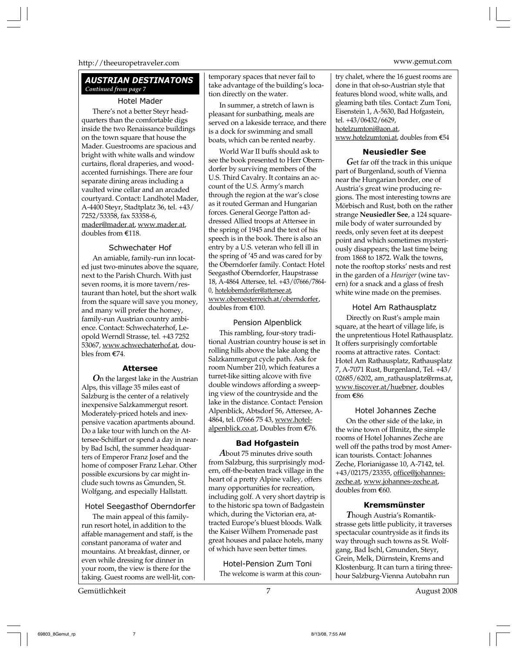# http://theeuropetraveler.com www.gemut.com

# *AUSTRIAN DESTINATONS Continued from page 7*

# Hotel Mader

There's not a better Steyr headquarters than the comfortable digs inside the two Renaissance buildings on the town square that house the Mader. Guestrooms are spacious and bright with white walls and window curtains, floral draperies, and woodaccented furnishings. There are four separate dining areas including a vaulted wine cellar and an arcaded courtyard. Contact: Landhotel Mader, A-4400 Steyr, Stadtplatz 36, tel. +43/ 7252/53358, fax 53358-6, mader@mader.at, www.mader.at, doubles from E118.

# Schwechater Hof

An amiable, family-run inn located just two-minutes above the square, next to the Parish Church. With just seven rooms, it is more tavern/restaurant than hotel, but the short walk from the square will save you money, and many will prefer the homey, family-run Austrian country ambience. Contact: Schwechaterhof, Leopold Werndl Strasse, tel. +43 7252 53067, www.schwechaterhof.at, doubles from E74.

#### **Attersee**

*O*n the largest lake in the Austrian Alps, this village 35 miles east of Salzburg is the center of a relatively inexpensive Salzkammergut resort. Moderately-priced hotels and inexpensive vacation apartments abound. Do a lake tour with lunch on the Attersee-Schiffart or spend a day in nearby Bad Ischl, the summer headquarters of Emperor Franz Josef and the home of composer Franz Lehar. Other possible excursions by car might include such towns as Gmunden, St. Wolfgang, and especially Hallstatt.

# Hotel Seegasthof Oberndorfer

The main appeal of this familyrun resort hotel, in addition to the affable management and staff, is the constant panorama of water and mountains. At breakfast, dinner, or even while dressing for dinner in your room, the view is there for the taking. Guest rooms are well-lit, con-

Gemütlichkeit 7 August 2008

temporary spaces that never fail to take advantage of the building's location directly on the water.

In summer, a stretch of lawn is pleasant for sunbathing, meals are served on a lakeside terrace, and there is a dock for swimming and small boats, which can be rented nearby.

World War II buffs should ask to see the book presented to Herr Oberndorfer by surviving members of the U.S. Third Cavalry. It contains an account of the U.S. Army's march through the region at the war's close as it routed German and Hungarian forces. General George Patton addressed Allied troops at Attersee in the spring of 1945 and the text of his speech is in the book. There is also an entry by a U.S. veteran who fell ill in the spring of '45 and was cared for by the Oberndorfer family. Contact: Hotel Seegasthof Oberndorfer, Haupstrasse 18, A-4864 Attersee, tel. +43/07666/7864- 0, hoteloberndorfer@attersee.at, www.oberoesterreich.at/oberndorfer, doubles from E100.

# Pension Alpenblick

This rambling, four-story traditional Austrian country house is set in rolling hills above the lake along the Salzkammergut cycle path. Ask for room Number 210, which features a turret-like sitting alcove with five double windows affording a sweeping view of the countryside and the lake in the distance. Contact: Pension Alpenblick, Abtsdorf 56, Attersee, A-4864, tel. 07666 75 43, www.hotelalpenblick.co.at, Doubles from €76.

# **Bad Hofgastein**

*A*bout 75 minutes drive south from Salzburg, this surprisingly modern, off-the-beaten track village in the heart of a pretty Alpine valley, offers many opportunities for recreation, including golf. A very short daytrip is to the historic spa town of Badgastein which, during the Victorian era, attracted Europe's bluest bloods. Walk the Kaiser Wilhem Promenade past great houses and palace hotels, many of which have seen better times.

Hotel-Pension Zum Toni The welcome is warm at this coun-

try chalet, where the 16 guest rooms are done in that oh-so-Austrian style that features blond wood, white walls, and gleaming bath tiles. Contact: Zum Toni, Eisenstein 1, A-5630, Bad Hofgastein, tel. +43/06432/6629, hotelzumtoni@aon.at, www.hotelzumtoni.at, doubles from E54

#### **Neusiedler See**

*G*et far off the track in this unique part of Burgenland, south of Vienna near the Hungarian border, one of Austria's great wine producing regions. The most interesting towns are Mörbisch and Rust, both on the rather strange **Neusiedler See**, a 124 squaremile body of water surrounded by reeds, only seven feet at its deepest point and which sometimes mysteriously disappears; the last time being from 1868 to 1872. Walk the towns, note the rooftop storks' nests and rest in the garden of a *Heuriger* (wine tavern) for a snack and a glass of fresh white wine made on the premises.

# Hotel Am Rathausplatz

Directly on Rust's ample main square, at the heart of village life, is the unpretentious Hotel Rathausplatz. It offers surprisingly comfortable rooms at attractive rates. Contact: Hotel Am Rathausplatz, Rathausplatz 7, A-7071 Rust, Burgenland, Tel. +43/ 02685/6202, am\_rathausplatz@rms.at, www.tiscover.at/huebner, doubles from E86

# Hotel Johannes Zeche

On the other side of the lake, in the wine town of Illmitz, the simple rooms of Hotel Johannes Zeche are well off the paths trod by most American tourists. Contact: Johannes Zeche, Florianigasse 10, A-7142, tel. +43/02175/23355, office@johanneszeche.at, www.johannes-zeche.at, doubles from E60.

#### **Kremsmünster**

*T*hough Austria's Romantikstrasse gets little publicity, it traverses spectacular countryside as it finds its way through such towns as St. Wolfgang, Bad Ischl, Gmunden, Steyr, Grein, Melk, Dürnstein, Krems and Klostenburg. It can turn a tiring threehour Salzburg-Vienna Autobahn run